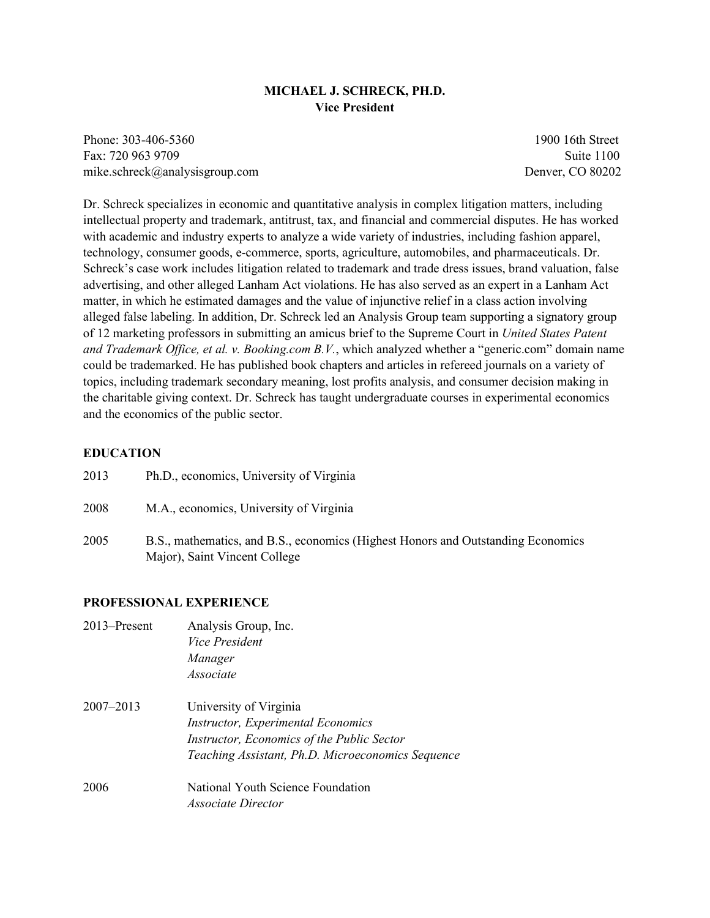### **MICHAEL J. SCHRECK, PH.D. Vice President**

Phone: 303-406-5360 1900 16th Street Fax: 720 963 9709 Suite 1100 mike.schreck@analysisgroup.com Denver, CO 80202

Dr. Schreck specializes in economic and quantitative analysis in complex litigation matters, including intellectual property and trademark, antitrust, tax, and financial and commercial disputes. He has worked with academic and industry experts to analyze a wide variety of industries, including fashion apparel, technology, consumer goods, e-commerce, sports, agriculture, automobiles, and pharmaceuticals. Dr. Schreck's case work includes litigation related to trademark and trade dress issues, brand valuation, false advertising, and other alleged Lanham Act violations. He has also served as an expert in a Lanham Act matter, in which he estimated damages and the value of injunctive relief in a class action involving alleged false labeling. In addition, Dr. Schreck led an Analysis Group team supporting a signatory group of 12 marketing professors in submitting an amicus brief to the Supreme Court in *United States Patent and Trademark Office, et al. v. Booking.com B.V.*, which analyzed whether a "generic.com" domain name could be trademarked. He has published book chapters and articles in refereed journals on a variety of topics, including trademark secondary meaning, lost profits analysis, and consumer decision making in the charitable giving context. Dr. Schreck has taught undergraduate courses in experimental economics and the economics of the public sector.

#### **EDUCATION**

| 2013 | Ph.D., economics, University of Virginia                                                                          |
|------|-------------------------------------------------------------------------------------------------------------------|
| 2008 | M.A., economics, University of Virginia                                                                           |
| 2005 | B.S., mathematics, and B.S., economics (Highest Honors and Outstanding Economics<br>Major), Saint Vincent College |

#### **PROFESSIONAL EXPERIENCE**

| 2013–Present | Analysis Group, Inc.<br><i>Vice President</i><br>Manager<br>Associate                                                                        |
|--------------|----------------------------------------------------------------------------------------------------------------------------------------------|
| 2007–2013    | University of Virginia                                                                                                                       |
|              | <b>Instructor, Experimental Economics</b><br>Instructor, Economics of the Public Sector<br>Teaching Assistant, Ph.D. Microeconomics Sequence |
| 2006         | National Youth Science Foundation<br><i>Associate Director</i>                                                                               |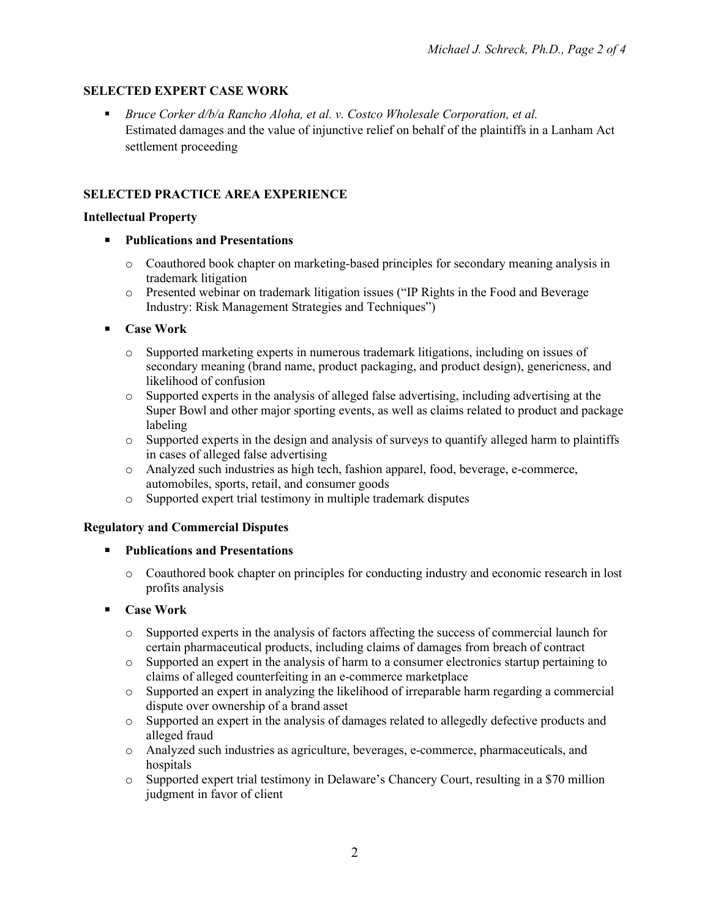# **SELECTED EXPERT CASE WORK**

 *Bruce Corker d/b/a Rancho Aloha, et al. v. Costco Wholesale Corporation, et al.* Estimated damages and the value of injunctive relief on behalf of the plaintiffs in a Lanham Act settlement proceeding

# **SELECTED PRACTICE AREA EXPERIENCE**

#### **Intellectual Property**

- **Publications and Presentations**
	- o Coauthored book chapter on marketing-based principles for secondary meaning analysis in trademark litigation
	- o Presented webinar on trademark litigation issues ("IP Rights in the Food and Beverage Industry: Risk Management Strategies and Techniques")

## **Case Work**

- o Supported marketing experts in numerous trademark litigations, including on issues of secondary meaning (brand name, product packaging, and product design), genericness, and likelihood of confusion
- o Supported experts in the analysis of alleged false advertising, including advertising at the Super Bowl and other major sporting events, as well as claims related to product and package labeling
- o Supported experts in the design and analysis of surveys to quantify alleged harm to plaintiffs in cases of alleged false advertising
- o Analyzed such industries as high tech, fashion apparel, food, beverage, e-commerce, automobiles, sports, retail, and consumer goods
- o Supported expert trial testimony in multiple trademark disputes

### **Regulatory and Commercial Disputes**

- **Publications and Presentations**
	- o Coauthored book chapter on principles for conducting industry and economic research in lost profits analysis

### **Case Work**

- o Supported experts in the analysis of factors affecting the success of commercial launch for certain pharmaceutical products, including claims of damages from breach of contract
- o Supported an expert in the analysis of harm to a consumer electronics startup pertaining to claims of alleged counterfeiting in an e-commerce marketplace
- o Supported an expert in analyzing the likelihood of irreparable harm regarding a commercial dispute over ownership of a brand asset
- o Supported an expert in the analysis of damages related to allegedly defective products and alleged fraud
- o Analyzed such industries as agriculture, beverages, e-commerce, pharmaceuticals, and hospitals
- o Supported expert trial testimony in Delaware's Chancery Court, resulting in a \$70 million judgment in favor of client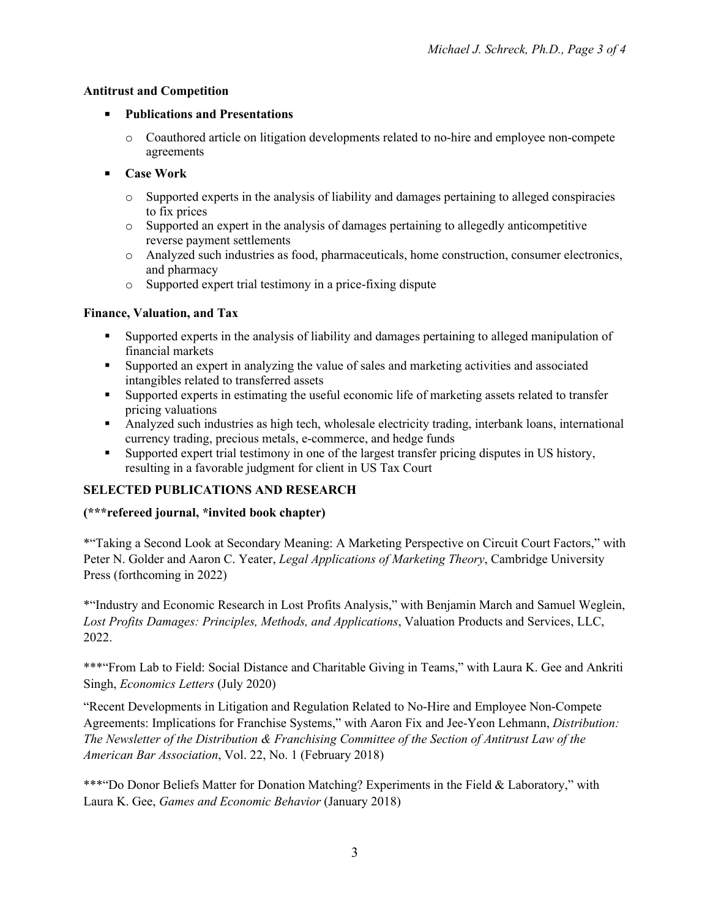## **Antitrust and Competition**

## **Publications and Presentations**

- o Coauthored article on litigation developments related to no-hire and employee non-compete agreements
- **Case Work**
	- o Supported experts in the analysis of liability and damages pertaining to alleged conspiracies to fix prices
	- o Supported an expert in the analysis of damages pertaining to allegedly anticompetitive reverse payment settlements
	- o Analyzed such industries as food, pharmaceuticals, home construction, consumer electronics, and pharmacy
	- o Supported expert trial testimony in a price-fixing dispute

## **Finance, Valuation, and Tax**

- Supported experts in the analysis of liability and damages pertaining to alleged manipulation of financial markets
- Supported an expert in analyzing the value of sales and marketing activities and associated intangibles related to transferred assets
- Supported experts in estimating the useful economic life of marketing assets related to transfer pricing valuations
- Analyzed such industries as high tech, wholesale electricity trading, interbank loans, international currency trading, precious metals, e-commerce, and hedge funds
- Supported expert trial testimony in one of the largest transfer pricing disputes in US history, resulting in a favorable judgment for client in US Tax Court

# **SELECTED PUBLICATIONS AND RESEARCH**

# **(\*\*\*refereed journal, \*invited book chapter)**

\*"Taking a Second Look at Secondary Meaning: A Marketing Perspective on Circuit Court Factors," with Peter N. Golder and Aaron C. Yeater, *Legal Applications of Marketing Theory*, Cambridge University Press (forthcoming in 2022)

\*"Industry and Economic Research in Lost Profits Analysis," with Benjamin March and Samuel Weglein, *Lost Profits Damages: Principles, Methods, and Applications*, Valuation Products and Services, LLC, 2022.

\*\*\*"From Lab to Field: Social Distance and Charitable Giving in Teams," with Laura K. Gee and Ankriti Singh, *Economics Letters* (July 2020)

"Recent Developments in Litigation and Regulation Related to No-Hire and Employee Non-Compete Agreements: Implications for Franchise Systems," with Aaron Fix and Jee-Yeon Lehmann, *Distribution: The Newsletter of the Distribution & Franchising Committee of the Section of Antitrust Law of the American Bar Association*, Vol. 22, No. 1 (February 2018)

\*\*\*"Do Donor Beliefs Matter for Donation Matching? Experiments in the Field & Laboratory," with Laura K. Gee, *Games and Economic Behavior* (January 2018)